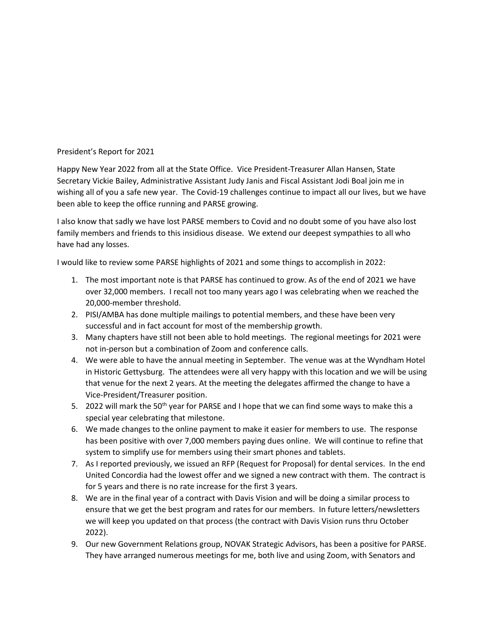## President's Report for 2021

Happy New Year 2022 from all at the State Office. Vice President-Treasurer Allan Hansen, State Secretary Vickie Bailey, Administrative Assistant Judy Janis and Fiscal Assistant Jodi Boal join me in wishing all of you a safe new year. The Covid-19 challenges continue to impact all our lives, but we have been able to keep the office running and PARSE growing.

I also know that sadly we have lost PARSE members to Covid and no doubt some of you have also lost family members and friends to this insidious disease. We extend our deepest sympathies to all who have had any losses.

I would like to review some PARSE highlights of 2021 and some things to accomplish in 2022:

- 1. The most important note is that PARSE has continued to grow. As of the end of 2021 we have over 32,000 members. I recall not too many years ago I was celebrating when we reached the 20,000-member threshold.
- 2. PISI/AMBA has done multiple mailings to potential members, and these have been very successful and in fact account for most of the membership growth.
- 3. Many chapters have still not been able to hold meetings. The regional meetings for 2021 were not in-person but a combination of Zoom and conference calls.
- 4. We were able to have the annual meeting in September. The venue was at the Wyndham Hotel in Historic Gettysburg. The attendees were all very happy with this location and we will be using that venue for the next 2 years. At the meeting the delegates affirmed the change to have a Vice-President/Treasurer position.
- 5. 2022 will mark the 50<sup>th</sup> year for PARSE and I hope that we can find some ways to make this a special year celebrating that milestone.
- 6. We made changes to the online payment to make it easier for members to use. The response has been positive with over 7,000 members paying dues online. We will continue to refine that system to simplify use for members using their smart phones and tablets.
- 7. As I reported previously, we issued an RFP (Request for Proposal) for dental services. In the end United Concordia had the lowest offer and we signed a new contract with them. The contract is for 5 years and there is no rate increase for the first 3 years.
- 8. We are in the final year of a contract with Davis Vision and will be doing a similar process to ensure that we get the best program and rates for our members. In future letters/newsletters we will keep you updated on that process (the contract with Davis Vision runs thru October 2022).
- 9. Our new Government Relations group, NOVAK Strategic Advisors, has been a positive for PARSE. They have arranged numerous meetings for me, both live and using Zoom, with Senators and